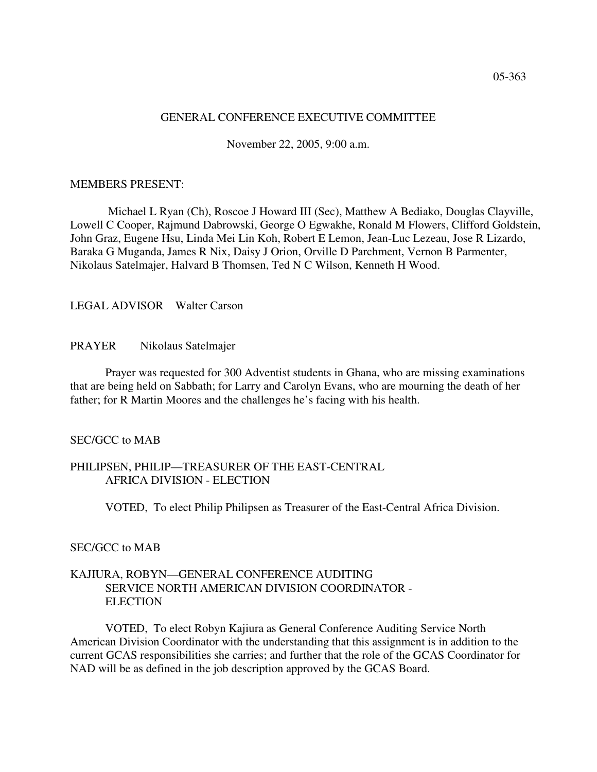## GENERAL CONFERENCE EXECUTIVE COMMITTEE

November 22, 2005, 9:00 a.m.

### MEMBERS PRESENT:

Michael L Ryan (Ch), Roscoe J Howard III (Sec), Matthew A Bediako, Douglas Clayville, Lowell C Cooper, Rajmund Dabrowski, George O Egwakhe, Ronald M Flowers, Clifford Goldstein, John Graz, Eugene Hsu, Linda Mei Lin Koh, Robert E Lemon, Jean-Luc Lezeau, Jose R Lizardo, Baraka G Muganda, James R Nix, Daisy J Orion, Orville D Parchment, Vernon B Parmenter, Nikolaus Satelmajer, Halvard B Thomsen, Ted N C Wilson, Kenneth H Wood.

LEGAL ADVISOR Walter Carson

## PRAYER Nikolaus Satelmajer

Prayer was requested for 300 Adventist students in Ghana, who are missing examinations that are being held on Sabbath; for Larry and Carolyn Evans, who are mourning the death of her father; for R Martin Moores and the challenges he's facing with his health.

#### SEC/GCC to MAB

# PHILIPSEN, PHILIP—TREASURER OF THE EAST-CENTRAL AFRICA DIVISION - ELECTION

VOTED, To elect Philip Philipsen as Treasurer of the East-Central Africa Division.

## SEC/GCC to MAB

## KAJIURA, ROBYN—GENERAL CONFERENCE AUDITING SERVICE NORTH AMERICAN DIVISION COORDINATOR - **ELECTION**

VOTED, To elect Robyn Kajiura as General Conference Auditing Service North American Division Coordinator with the understanding that this assignment is in addition to the current GCAS responsibilities she carries; and further that the role of the GCAS Coordinator for NAD will be as defined in the job description approved by the GCAS Board.